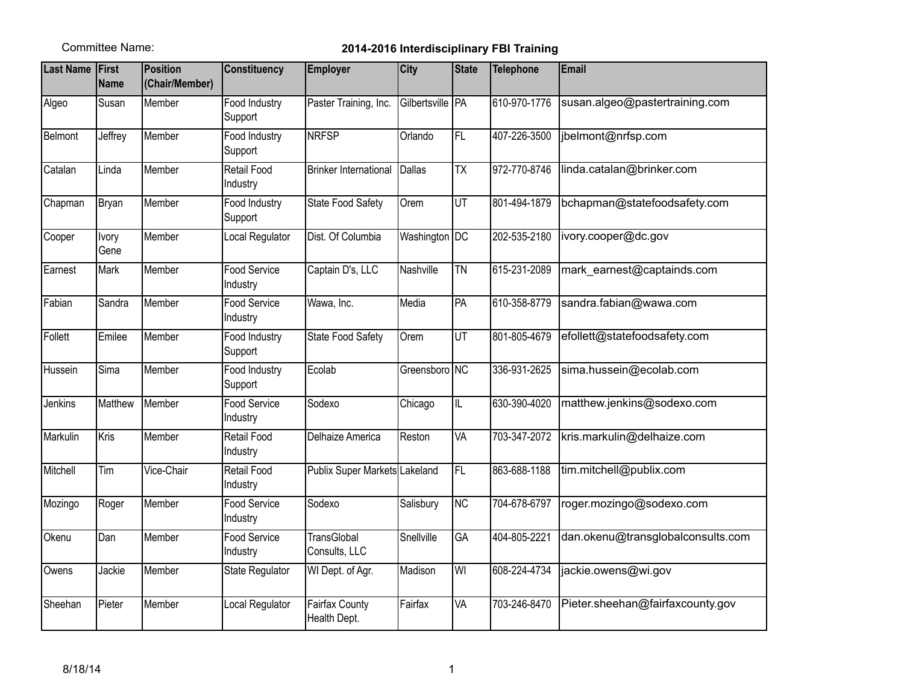## Committee Name: **2014-2016 Interdisciplinary FBI Training**

| <b>Last Name First</b> | Name                 | Position<br>(Chair/Member) | <b>Constituency</b>      | <b>Employer</b>                       | <b>City</b>        | <b>State</b>            | <b>Telephone</b> | Email                             |
|------------------------|----------------------|----------------------------|--------------------------|---------------------------------------|--------------------|-------------------------|------------------|-----------------------------------|
| Algeo                  | Susan                | Member                     | Food Industry<br>Support | Paster Training, Inc.                 | Gilbertsville   PA |                         | 610-970-1776     | susan.algeo@pastertraining.com    |
| Belmont                | Jeffrey              | Member                     | Food Industry<br>Support | <b>NRFSP</b>                          | Orlando            | FL                      | 407-226-3500     | jbelmont@nrfsp.com                |
| Catalan                | Linda                | Member                     | Retail Food<br>Industry  | <b>Brinker International</b>          | Dallas             | $\overline{TX}$         | 972-770-8746     | linda.catalan@brinker.com         |
| Chapman                | Bryan                | Member                     | Food Industry<br>Support | <b>State Food Safety</b>              | Orem               | $\overline{UT}$         | 801-494-1879     | bchapman@statefoodsafety.com      |
| Cooper                 | <b>Ivory</b><br>Gene | Member                     | Local Regulator          | Dist. Of Columbia                     | Washington DC      |                         | 202-535-2180     | ivory.cooper@dc.gov               |
| Earnest                | Mark                 | Member                     | Food Service<br>Industry | Captain D's, LLC                      | Nashville          | <b>TN</b>               | 615-231-2089     | mark_earnest@captainds.com        |
| Fabian                 | Sandra               | Member                     | Food Service<br>Industry | Wawa, Inc.                            | Media              | PA                      | 610-358-8779     | sandra.fabian@wawa.com            |
| Follett                | Emilee               | Member                     | Food Industry<br>Support | <b>State Food Safety</b>              | Orem               | UT                      | 801-805-4679     | efollett@statefoodsafety.com      |
| Hussein                | Sima                 | Member                     | Food Industry<br>Support | Ecolab                                | Greensboro NC      |                         | 336-931-2625     | sima.hussein@ecolab.com           |
| <b>Jenkins</b>         | Matthew              | Member                     | Food Service<br>Industry | Sodexo                                | Chicago            | $\overline{\mathbb{L}}$ | 630-390-4020     | matthew.jenkins@sodexo.com        |
| Markulin               | Kris                 | Member                     | Retail Food<br>Industry  | Delhaize America                      | Reston             | VA                      | 703-347-2072     | kris.markulin@delhaize.com        |
| Mitchell               | Tim                  | Vice-Chair                 | Retail Food<br>Industry  | Publix Super Markets Lakeland         |                    | F                       | 863-688-1188     | tim.mitchell@publix.com           |
| Mozingo                | Roger                | Member                     | Food Service<br>Industry | Sodexo                                | Salisbury          | $\overline{NC}$         | 704-678-6797     | roger.mozingo@sodexo.com          |
| Okenu                  | Dan                  | Member                     | Food Service<br>Industry | TransGlobal<br>Consults, LLC          | Snellville         | GA                      | 404-805-2221     | dan.okenu@transglobalconsults.com |
| Owens                  | Jackie               | Member                     | <b>State Regulator</b>   | WI Dept. of Agr.                      | Madison            | $\overline{\mathsf{W}}$ | 608-224-4734     | jackie.owens@wi.gov               |
| Sheehan                | Pieter               | Member                     | Local Regulator          | <b>Fairfax County</b><br>Health Dept. | Fairfax            | VA                      | 703-246-8470     | Pieter.sheehan@fairfaxcounty.gov  |